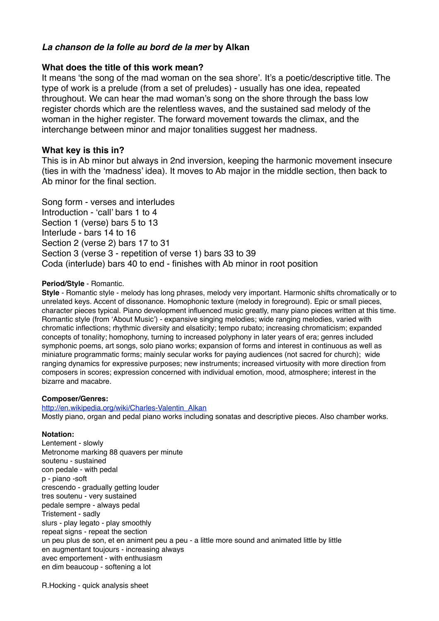# *La chanson de la folle au bord de la mer* **by Alkan**

## **What does the title of this work mean?**

It means 'the song of the mad woman on the sea shore'. It's a poetic/descriptive title. The type of work is a prelude (from a set of preludes) - usually has one idea, repeated throughout. We can hear the mad woman's song on the shore through the bass low register chords which are the relentless waves, and the sustained sad melody of the woman in the higher register. The forward movement towards the climax, and the interchange between minor and major tonalities suggest her madness.

### **What key is this in?**

This is in Ab minor but always in 2nd inversion, keeping the harmonic movement insecure (ties in with the 'madness' idea). It moves to Ab major in the middle section, then back to Ab minor for the final section.

Song form - verses and interludes Introduction - 'call' bars 1 to 4 Section 1 (verse) bars 5 to 13 Interlude - bars 14 to 16 Section 2 (verse 2) bars 17 to 31 Section 3 (verse 3 - repetition of verse 1) bars 33 to 39 Coda (interlude) bars 40 to end - finishes with Ab minor in root position

### **Period/Style** - Romantic.

**Style** - Romantic style - melody has long phrases, melody very important. Harmonic shifts chromatically or to unrelated keys. Accent of dissonance. Homophonic texture (melody in foreground). Epic or small pieces, character pieces typical. Piano development influenced music greatly, many piano pieces written at this time. Romantic style (from 'About Music') - expansive singing melodies; wide ranging melodies, varied with chromatic inflections; rhythmic diversity and elsaticity; tempo rubato; increasing chromaticism; expanded concepts of tonality; homophony, turning to increased polyphony in later years of era; genres included symphonic poems, art songs, solo piano works; expansion of forms and interest in continuous as well as miniature programmatic forms; mainly secular works for paying audiences (not sacred for church); wide ranging dynamics for expressive purposes; new instruments; increased virtuosity with more direction from composers in scores; expression concerned with individual emotion, mood, atmosphere; interest in the bizarre and macabre.

### **Composer/Genres:**

[http://en.wikipedia.org/wiki/Charles-Valentin\\_Alkan](http://en.wikipedia.org/wiki/Charles-Valentin_Alkan) Mostly piano, organ and pedal piano works including sonatas and descriptive pieces. Also chamber works.

#### **Notation:**

Lentement - slowly Metronome marking 88 quavers per minute soutenu - sustained con pedale - with pedal p - piano -soft crescendo - gradually getting louder tres soutenu - very sustained pedale sempre - always pedal Tristement - sadly slurs - play legato - play smoothly repeat signs - repeat the section un peu plus de son, et en animent peu a peu - a little more sound and animated little by little en augmentant toujours - increasing always avec emportement - with enthusiasm en dim beaucoup - softening a lot

R.Hocking - quick analysis sheet